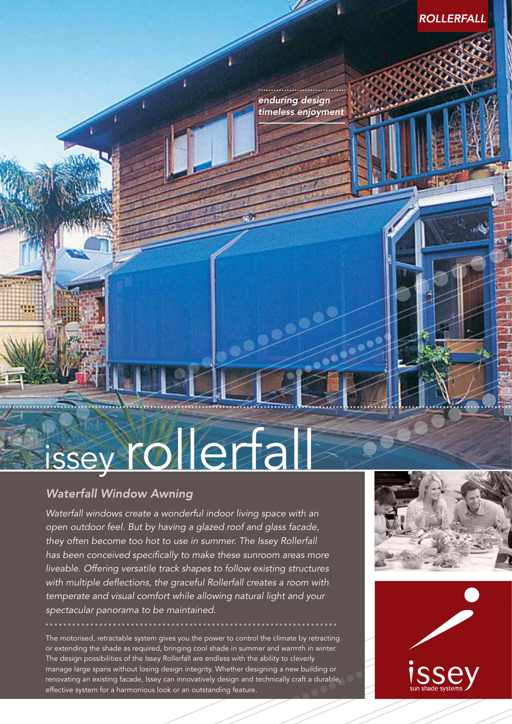*enduring design timeless enjoyment*

## issey rollerfall

### **Waterfall Window Awning**

*Waterfall windows create a wonderful indoor living space with an open outdoor feel. But by having a glazed roof and glass facade, they often become too hot to use in summer. The Issey Rollerfall has been conceived specifically to make these sunroom areas more liveable. Offering versatile track shapes to follow existing structures with multiple deflections, the graceful Rollerfall creates a room with temperate and visual comfort while allowing natural light and your spectacular panorama to be maintained.*

The motorised, retractable system gives you the power to control the climate by retracting or extending the shade as required, bringing cool shade in summer and warmth in winter. The design possibilities of the Issey Rollerfall are endless with the ability to cleverly manage large spans without losing design integrity. Whether designing a new building or renovating an existing facade, Issey can innovatively design and technically craft a durable, effective system for a harmonious look or an outstanding feature.